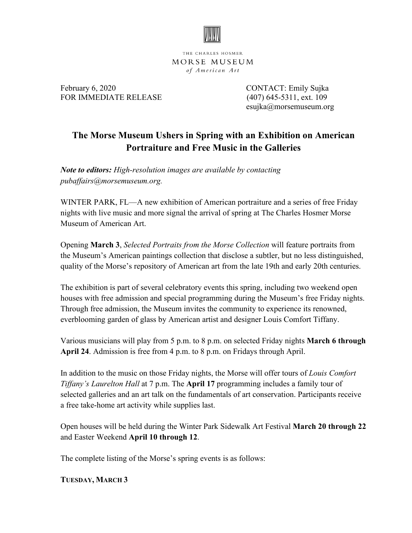

THE CHARLES HOSMER MORSE MUSEUM of American Art

February 6, 2020 **CONTACT:** Emily Sujka FOR IMMEDIATE RELEASE (407) 645-5311, ext. 109

esujka@morsemuseum.org

# **The Morse Museum Ushers in Spring with an Exhibition on American Portraiture and Free Music in the Galleries**

*Note to editors: High-resolution images are available by contacting pubaffairs@morsemuseum.org.*

WINTER PARK, FL—A new exhibition of American portraiture and a series of free Friday nights with live music and more signal the arrival of spring at The Charles Hosmer Morse Museum of American Art.

Opening **March 3**, *Selected Portraits from the Morse Collection* will feature portraits from the Museum's American paintings collection that disclose a subtler, but no less distinguished, quality of the Morse's repository of American art from the late 19th and early 20th centuries.

The exhibition is part of several celebratory events this spring, including two weekend open houses with free admission and special programming during the Museum's free Friday nights. Through free admission, the Museum invites the community to experience its renowned, everblooming garden of glass by American artist and designer Louis Comfort Tiffany.

Various musicians will play from 5 p.m. to 8 p.m. on selected Friday nights **March 6 through April 24**. Admission is free from 4 p.m. to 8 p.m. on Fridays through April.

In addition to the music on those Friday nights, the Morse will offer tours of *Louis Comfort Tiffany's Laurelton Hall* at 7 p.m. The **April 17** programming includes a family tour of selected galleries and an art talk on the fundamentals of art conservation. Participants receive a free take-home art activity while supplies last.

Open houses will be held during the Winter Park Sidewalk Art Festival **March 20 through 22** and Easter Weekend **April 10 through 12**.

The complete listing of the Morse's spring events is as follows:

**TUESDAY, MARCH 3**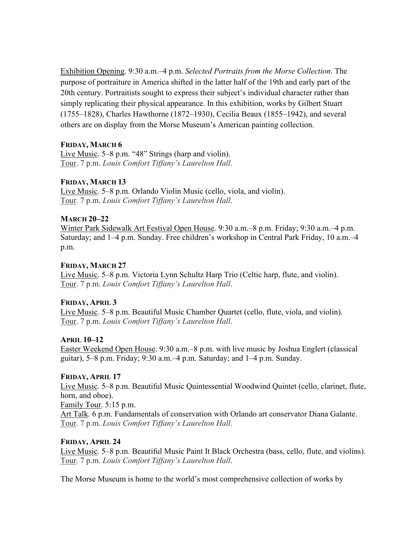Exhibition Opening. 9:30 a.m.–4 p.m. *Selected Portraits from the Morse Collection*. The purpose of portraiture in America shifted in the latter half of the 19th and early part of the 20th century. Portraitists sought to express their subject's individual character rather than simply replicating their physical appearance. In this exhibition, works by Gilbert Stuart (1755–1828), Charles Hawthorne (1872–1930), Cecilia Beaux (1855–1942), and several others are on display from the Morse Museum's American painting collection.

## **FRIDAY, MARCH 6**

Live Music. 5–8 p.m. "48" Strings (harp and violin). Tour. 7 p.m. *Louis Comfort Tiffany's Laurelton Hall*.

## **FRIDAY, MARCH 13**

Live Music. 5–8 p.m. Orlando Violin Music (cello, viola, and violin). Tour. 7 p.m. *Louis Comfort Tiffany's Laurelton Hall*.

## **MARCH 20–22**

Winter Park Sidewalk Art Festival Open House. 9:30 a.m.–8 p.m. Friday; 9:30 a.m.–4 p.m. Saturday; and 1–4 p.m. Sunday. Free children's workshop in Central Park Friday, 10 a.m.–4 p.m.

## **FRIDAY, MARCH 27**

Live Music. 5–8 p.m. Victoria Lynn Schultz Harp Trio (Celtic harp, flute, and violin). Tour. 7 p.m. *Louis Comfort Tiffany's Laurelton Hall*.

## **FRIDAY, APRIL 3**

Live Music. 5–8 p.m. Beautiful Music Chamber Quartet (cello, flute, viola, and violin). Tour. 7 p.m. *Louis Comfort Tiffany's Laurelton Hall*.

## **APRIL 10–12**

Easter Weekend Open House. 9:30 a.m.–8 p.m. with live music by Joshua Englert (classical guitar), 5–8 p.m. Friday; 9:30 a.m.–4 p.m. Saturday; and 1–4 p.m. Sunday.

## **FRIDAY, APRIL 17**

Live Music. 5–8 p.m. Beautiful Music Quintessential Woodwind Quintet (cello, clarinet, flute, horn, and oboe).

Family Tour. 5:15 p.m. Art Talk. 6 p.m. Fundamentals of conservation with Orlando art conservator Diana Galante.

Tour. 7 p.m. *Louis Comfort Tiffany's Laurelton Hall*.

## **FRIDAY, APRIL 24**

Live Music. 5–8 p.m. Beautiful Music Paint It Black Orchestra (bass, cello, flute, and violins). Tour. 7 p.m. *Louis Comfort Tiffany's Laurelton Hall*.

The Morse Museum is home to the world's most comprehensive collection of works by